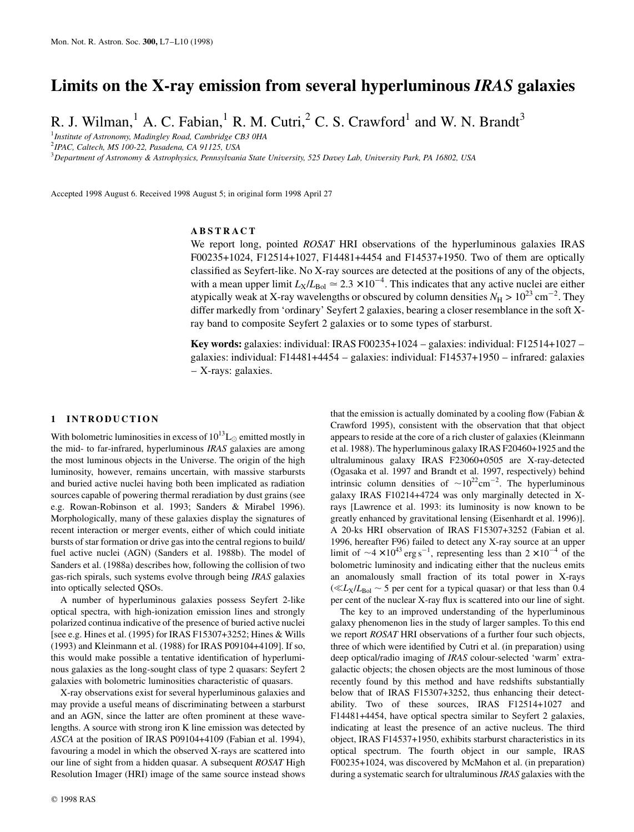# **Limits on the X-ray emission from several hyperluminous** *IRAS* **galaxies**

R. J. Wilman,<sup>1</sup> A. C. Fabian,<sup>1</sup> R. M. Cutri,<sup>2</sup> C. S. Crawford<sup>1</sup> and W. N. Brandt<sup>3</sup>

1 *Institute of Astronomy, Madingley Road, Cambridge CB3 0HA*

2 *IPAC, Caltech, MS 100-22, Pasadena, CA 91125, USA*

3 *Department of Astronomy & Astrophysics, Pennsylvania State University, 525 Davey Lab, University Park, PA 16802, USA*

Accepted 1998 August 6. Received 1998 August 5; in original form 1998 April 27

## **ABSTRACT**

We report long, pointed *ROSAT* HRI observations of the hyperluminous galaxies IRAS F00235+1024, F12514+1027, F14481+4454 and F14537+1950. Two of them are optically classified as Seyfert-like. No X-ray sources are detected at the positions of any of the objects, with a mean upper limit  $L_X/L_{Bol} \simeq 2.3 \times 10^{-4}$ . This indicates that any active nuclei are either atypically weak at X-ray wavelengths or obscured by column densities  $N_{\rm H} > 10^{23} \text{ cm}^{-2}$ . They differ markedly from 'ordinary' Seyfert 2 galaxies, bearing a closer resemblance in the soft Xray band to composite Seyfert 2 galaxies or to some types of starburst.

**Key words:** galaxies: individual: IRAS F00235+1024 – galaxies: individual: F12514+1027 – galaxies: individual: F14481+4454 – galaxies: individual: F14537+1950 – infrared: galaxies – X-rays: galaxies.

#### **1 INTRODUCTION**

With bolometric luminosities in excess of  $10^{13}$ L<sub> $\odot$ </sub> emitted mostly in the mid- to far-infrared, hyperluminous *IRAS* galaxies are among the most luminous objects in the Universe. The origin of the high luminosity, however, remains uncertain, with massive starbursts and buried active nuclei having both been implicated as radiation sources capable of powering thermal reradiation by dust grains (see e.g. Rowan-Robinson et al. 1993; Sanders & Mirabel 1996). Morphologically, many of these galaxies display the signatures of recent interaction or merger events, either of which could initiate bursts of star formation or drive gas into the central regions to build/ fuel active nuclei (AGN) (Sanders et al. 1988b). The model of Sanders et al. (1988a) describes how, following the collision of two gas-rich spirals, such systems evolve through being *IRAS* galaxies into optically selected QSOs.

A number of hyperluminous galaxies possess Seyfert 2-like optical spectra, with high-ionization emission lines and strongly polarized continua indicative of the presence of buried active nuclei [see e.g. Hines et al. (1995) for IRAS F15307+3252; Hines & Wills (1993) and Kleinmann et al. (1988) for IRAS P09104+4109]. If so, this would make possible a tentative identification of hyperluminous galaxies as the long-sought class of type 2 quasars: Seyfert 2 galaxies with bolometric luminosities characteristic of quasars.

X-ray observations exist for several hyperluminous galaxies and may provide a useful means of discriminating between a starburst and an AGN, since the latter are often prominent at these wavelengths. A source with strong iron K line emission was detected by *ASCA* at the position of IRAS P09104+4109 (Fabian et al. 1994), favouring a model in which the observed X-rays are scattered into our line of sight from a hidden quasar. A subsequent *ROSAT* High Resolution Imager (HRI) image of the same source instead shows that the emission is actually dominated by a cooling flow (Fabian  $\&$ Crawford 1995), consistent with the observation that that object appears to reside at the core of a rich cluster of galaxies (Kleinmann et al. 1988). The hyperluminous galaxy IRAS F20460+1925 and the ultraluminous galaxy IRAS F23060+0505 are X-ray-detected (Ogasaka et al. 1997 and Brandt et al. 1997, respectively) behind intrinsic column densities of  $\sim 10^{22}$ cm<sup>-2</sup>. The hyperluminous galaxy IRAS F10214+4724 was only marginally detected in Xrays [Lawrence et al. 1993: its luminosity is now known to be greatly enhanced by gravitational lensing (Eisenhardt et al. 1996)]. A 20-ks HRI observation of IRAS F15307+3252 (Fabian et al. 1996, hereafter F96) failed to detect any X-ray source at an upper limit of  $\sim$ 4 × 10<sup>43</sup> erg s<sup>-1</sup>, representing less than 2 × 10<sup>-4</sup> of the bolometric luminosity and indicating either that the nucleus emits an anomalously small fraction of its total power in X-rays  $(\ll L_X/L_{Bol} \sim 5$  per cent for a typical quasar) or that less than 0.4 per cent of the nuclear X-ray flux is scattered into our line of sight.

The key to an improved understanding of the hyperluminous galaxy phenomenon lies in the study of larger samples. To this end we report *ROSAT* HRI observations of a further four such objects, three of which were identified by Cutri et al. (in preparation) using deep optical/radio imaging of *IRAS* colour-selected 'warm' extragalactic objects; the chosen objects are the most luminous of those recently found by this method and have redshifts substantially below that of IRAS F15307+3252, thus enhancing their detectability. Two of these sources, IRAS F12514+1027 and F14481+4454, have optical spectra similar to Seyfert 2 galaxies, indicating at least the presence of an active nucleus. The third object, IRAS F14537+1950, exhibits starburst characteristics in its optical spectrum. The fourth object in our sample, IRAS F00235+1024, was discovered by McMahon et al. (in preparation) during a systematic search for ultraluminous *IRAS* galaxies with the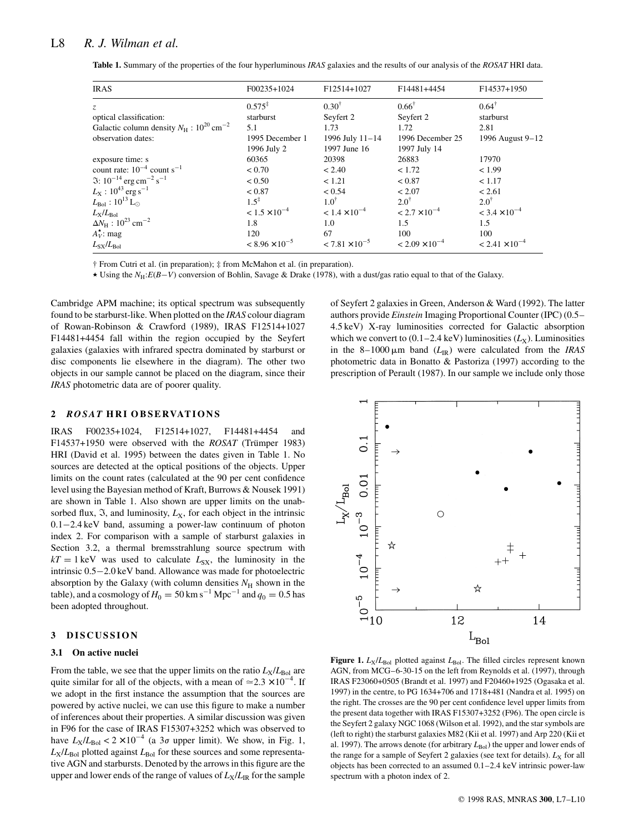| <b>IRAS</b>                                                      | $F00235+1024$           | F12514+1027             | F14481+4454             | F14537+1950                       |
|------------------------------------------------------------------|-------------------------|-------------------------|-------------------------|-----------------------------------|
| Z.                                                               | $0.575^*$               | $0.30^{\dagger}$        | $0.66^{\dagger}$        | $0.64^{\dagger}$                  |
| optical classification:                                          | starburst               | Seyfert 2               | Seyfert 2               | starburst                         |
| Galactic column density $N_{\rm H}$ : $10^{20}$ cm <sup>-2</sup> | 5.1                     | 1.73                    | 1.72                    | 2.81                              |
| observation dates:                                               | 1995 December 1         | 1996 July 11-14         | 1996 December 25        | 1996 August 9-12                  |
|                                                                  | 1996 July 2             | 1997 June 16            | 1997 July 14            |                                   |
| exposure time: s                                                 | 60365                   | 20398                   | 26883                   | 17970                             |
| count rate: $10^{-4}$ count s <sup>-1</sup>                      | < 0.70                  | < 2.40                  | < 1.72                  | < 1.99                            |
| $\Im$ : 10 <sup>-14</sup> erg cm <sup>-2</sup> s <sup>-1</sup>   | < 0.50                  | < 1.21                  | < 0.87                  | < 1.17                            |
| $L_{\rm X}$ : 10 <sup>43</sup> erg s <sup>-1</sup>               | < 0.87                  | < 0.54                  | < 2.07                  | < 2.61                            |
| $L_{\rm Bol}:10^{13}\,{\rm L}_{\odot}$                           | $1.5^{\ddagger}$        | $1.0^{\dagger}$         | $2.0^{\dagger}$         | $2.0^{\dagger}$                   |
| $L_{\rm X}/L_{\rm Bol}$                                          | $< 1.5 \times 10^{-4}$  | $< 1.4 \times 10^{-4}$  | $< 2.7 \times 10^{-4}$  | $<$ 3.4 $\times$ 10 <sup>-4</sup> |
| $\Delta N_{\rm H}$ : $10^{23}$ cm <sup>-2</sup>                  | 1.8                     | 1.0                     | 1.5                     | 1.5                               |
| $A_V^{\star}$ : mag                                              | 120                     | 67                      | 100                     | 100                               |
| $L_{SX}/L_{Bol}$                                                 | $< 8.96 \times 10^{-5}$ | $< 7.81 \times 10^{-5}$ | $< 2.09 \times 10^{-4}$ | $< 2.41 \times 10^{-4}$           |

**Table 1.** Summary of the properties of the four hyperluminous *IRAS* galaxies and the results of our analysis of the *ROSAT* HRI data.

† From Cutri et al. (in preparation); ‡ from McMahon et al. (in preparation).

 $\star$  Using the *N*<sub>H</sub>:*E*(*B*-*V*) conversion of Bohlin, Savage & Drake (1978), with a dust/gas ratio equal to that of the Galaxy.

Cambridge APM machine; its optical spectrum was subsequently found to be starburst-like. When plotted on the *IRAS* colour diagram of Rowan-Robinson & Crawford (1989), IRAS F12514+1027 F14481+4454 fall within the region occupied by the Seyfert galaxies (galaxies with infrared spectra dominated by starburst or disc components lie elsewhere in the diagram). The other two objects in our sample cannot be placed on the diagram, since their *IRAS* photometric data are of poorer quality.

#### **2** *ROSAT* **H RI O B S E RVAT I O N S**

IRAS F00235+1024, F12514+1027, F14481+4454 and F14537+1950 were observed with the *ROSAT* (Trümper 1983) HRI (David et al. 1995) between the dates given in Table 1. No sources are detected at the optical positions of the objects. Upper limits on the count rates (calculated at the 90 per cent confidence level using the Bayesian method of Kraft, Burrows & Nousek 1991) are shown in Table 1. Also shown are upper limits on the unabsorbed flux,  $\mathfrak{I}$ , and luminosity,  $L_X$ , for each object in the intrinsic  $0.1 - 2.4 \,\text{keV}$  band, assuming a power-law continuum of photon index 2. For comparison with a sample of starburst galaxies in Section 3.2, a thermal bremsstrahlung source spectrum with  $kT = 1 \text{ keV}$  was used to calculate  $L_{SX}$ , the luminosity in the intrinsic  $0.5 - 2.0$  keV band. Allowance was made for photoelectric absorption by the Galaxy (with column densities  $N_H$  shown in the table), and a cosmology of  $H_0 = 50 \text{ km s}^{-1} \text{ Mpc}^{-1}$  and  $q_0 = 0.5 \text{ has}$ been adopted throughout.

#### **3 DISCUSSION**

#### **3.1 On active nuclei**

From the table, we see that the upper limits on the ratio  $L_X/L_{Bol}$  are quite similar for all of the objects, with a mean of  $\approx 2.3 \times 10^{-4}$ . If we adopt in the first instance the assumption that the sources are powered by active nuclei, we can use this figure to make a number of inferences about their properties. A similar discussion was given in F96 for the case of IRAS F15307+3252 which was observed to have  $L_X/L_{Bol} < 2 \times 10^{-4}$  (a  $3\sigma$  upper limit). We show, in Fig. 1,  $L_X/L_{Bol}$  plotted against  $L_{Bol}$  for these sources and some representative AGN and starbursts. Denoted by the arrows in this figure are the upper and lower ends of the range of values of  $L_X/L_R$  for the sample

 $\overline{0}$ .  $0.01$  $10^{-3}$  $\circ$ ☆  $10^{-4}$ ☆  $\frac{1}{2}$  $\frac{1}{10}$ 12 14  $L_{Bol}$ 

of Seyfert 2 galaxies in Green, Anderson & Ward (1992). The latter authors provide *Einstein* Imaging Proportional Counter (IPC) (0.5– 4.5 keV) X-ray luminosities corrected for Galactic absorption which we convert to  $(0.1–2.4 \text{ keV})$  luminosities  $(L_X)$ . Luminosities in the  $8-1000 \mu m$  band ( $L_{IR}$ ) were calculated from the *IRAS* photometric data in Bonatto & Pastoriza (1997) according to the prescription of Perault (1987). In our sample we include only those

**Figure 1.**  $L_X/L_{Bol}$  plotted against  $L_{Bol}$ . The filled circles represent known AGN, from MCG–6-30-15 on the left from Reynolds et al. (1997), through IRAS F23060+0505 (Brandt et al. 1997) and F20460+1925 (Ogasaka et al. 1997) in the centre, to PG 1634+706 and 1718+481 (Nandra et al. 1995) on the right. The crosses are the 90 per cent confidence level upper limits from the present data together with IRAS F15307+3252 (F96). The open circle is the Seyfert 2 galaxy NGC 1068 (Wilson et al. 1992), and the star symbols are (left to right) the starburst galaxies M82 (Kii et al. 1997) and Arp 220 (Kii et al. 1997). The arrows denote (for arbitrary  $L_{Bol}$ ) the upper and lower ends of the range for a sample of Seyfert 2 galaxies (see text for details).  $L_X$  for all objects has been corrected to an assumed 0.1–2.4 keV intrinsic power-law spectrum with a photon index of 2.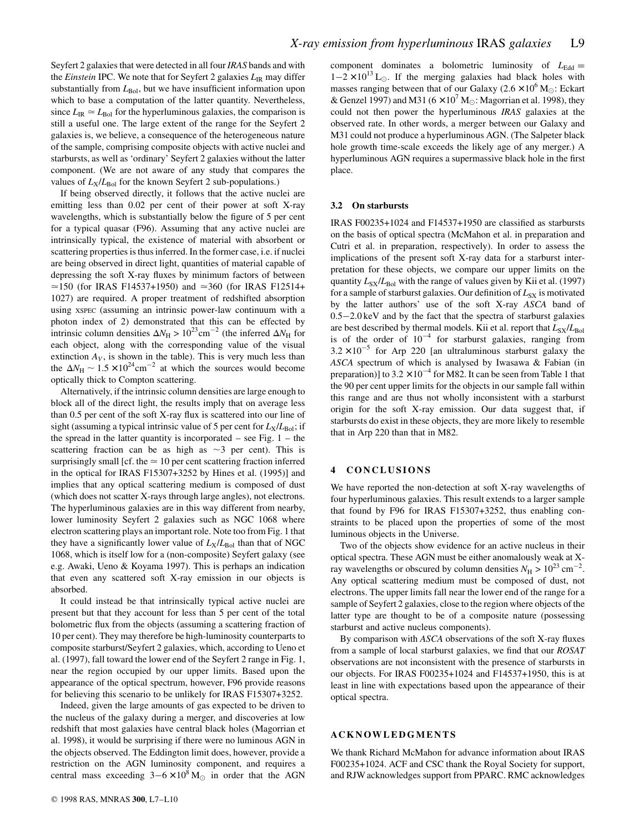Seyfert 2 galaxies that were detected in all four *IRAS* bands and with the *Einstein* IPC. We note that for Seyfert 2 galaxies  $L_{IR}$  may differ substantially from  $L_{Bol}$ , but we have insufficient information upon which to base a computation of the latter quantity. Nevertheless, since  $L_{\text{IR}} \simeq L_{\text{Bol}}$  for the hyperluminous galaxies, the comparison is still a useful one. The large extent of the range for the Seyfert 2 galaxies is, we believe, a consequence of the heterogeneous nature of the sample, comprising composite objects with active nuclei and starbursts, as well as 'ordinary' Seyfert 2 galaxies without the latter component. (We are not aware of any study that compares the values of  $L_X/L_{Bol}$  for the known Seyfert 2 sub-populations.)

If being observed directly, it follows that the active nuclei are emitting less than 0.02 per cent of their power at soft X-ray wavelengths, which is substantially below the figure of 5 per cent for a typical quasar (F96). Assuming that any active nuclei are intrinsically typical, the existence of material with absorbent or scattering properties is thus inferred. In the former case, i.e. if nuclei are being observed in direct light, quantities of material capable of depressing the soft X-ray fluxes by minimum factors of between  $\approx$ 150 (for IRAS F14537+1950) and  $\approx$ 360 (for IRAS F12514+ 1027) are required. A proper treatment of redshifted absorption using XSPEC (assuming an intrinsic power-law continuum with a photon index of 2) demonstrated that this can be effected by intrinsic column densities  $\Delta N_{\text{H}} > 10^{23} \text{cm}^{-2}$  (the inferred  $\Delta N_{\text{H}}$  for each object, along with the corresponding value of the visual extinction  $A_V$ , is shown in the table). This is very much less than the  $\Delta N_H \sim 1.5 \times 10^{24} \text{cm}^{-2}$  at which the sources would become optically thick to Compton scattering.

Alternatively, if the intrinsic column densities are large enough to block all of the direct light, the results imply that on average less than 0.5 per cent of the soft X-ray flux is scattered into our line of sight (assuming a typical intrinsic value of 5 per cent for  $L_X/L_{Bol}$ ; if the spread in the latter quantity is incorporated – see Fig.  $1 -$  the scattering fraction can be as high as  $\sim$ 3 per cent). This is surprisingly small [cf. the  $\simeq 10$  per cent scattering fraction inferred in the optical for IRAS F15307+3252 by Hines et al. (1995)] and implies that any optical scattering medium is composed of dust (which does not scatter X-rays through large angles), not electrons. The hyperluminous galaxies are in this way different from nearby, lower luminosity Seyfert 2 galaxies such as NGC 1068 where electron scattering plays an important role. Note too from Fig. 1 that they have a significantly lower value of  $L_X/L_{Bol}$  than that of NGC 1068, which is itself low for a (non-composite) Seyfert galaxy (see e.g. Awaki, Ueno & Koyama 1997). This is perhaps an indication that even any scattered soft X-ray emission in our objects is absorbed.

It could instead be that intrinsically typical active nuclei are present but that they account for less than 5 per cent of the total bolometric flux from the objects (assuming a scattering fraction of 10 per cent). They may therefore be high-luminosity counterparts to composite starburst/Seyfert 2 galaxies, which, according to Ueno et al. (1997), fall toward the lower end of the Seyfert 2 range in Fig. 1, near the region occupied by our upper limits. Based upon the appearance of the optical spectrum, however, F96 provide reasons for believing this scenario to be unlikely for IRAS F15307+3252.

Indeed, given the large amounts of gas expected to be driven to the nucleus of the galaxy during a merger, and discoveries at low redshift that most galaxies have central black holes (Magorrian et al. 1998), it would be surprising if there were no luminous AGN in the objects observed. The Eddington limit does, however, provide a restriction on the AGN luminosity component, and requires a central mass exceeding  $3-6 \times 10^8$  M<sub>O</sub> in order that the AGN component dominates a bolometric luminosity of  $L_{\text{Edd}} =$  $1-2 \times 10^{13}$  L<sub>o</sub>. If the merging galaxies had black holes with masses ranging between that of our Galaxy ( $2.6 \times 10^6$  M<sub> $\odot$ </sub>: Eckart & Genzel 1997) and M31 ( $6 \times 10^7$  M<sub> $\odot$ </sub>: Magorrian et al. 1998), they could not then power the hyperluminous *IRAS* galaxies at the observed rate. In other words, a merger between our Galaxy and M31 could not produce a hyperluminous AGN. (The Salpeter black hole growth time-scale exceeds the likely age of any merger.) A hyperluminous AGN requires a supermassive black hole in the first place.

#### **3.2 On starbursts**

IRAS F00235+1024 and F14537+1950 are classified as starbursts on the basis of optical spectra (McMahon et al. in preparation and Cutri et al. in preparation, respectively). In order to assess the implications of the present soft X-ray data for a starburst interpretation for these objects, we compare our upper limits on the quantity  $L_{SX}/L_{Bol}$  with the range of values given by Kii et al. (1997) for a sample of starburst galaxies. Our definition of  $L_{SX}$  is motivated by the latter authors' use of the soft X-ray *ASCA* band of  $0.5 - 2.0 \,\text{keV}$  and by the fact that the spectra of starburst galaxies are best described by thermal models. Kii et al. report that  $L_{SX}/L_{Bol}$ is of the order of  $10^{-4}$  for starburst galaxies, ranging from  $3.2 \times 10^{-5}$  for Arp 220 [an ultraluminous starburst galaxy the *ASCA* spectrum of which is analysed by Iwasawa & Fabian (in preparation)] to  $3.2 \times 10^{-4}$  for M82. It can be seen from Table 1 that the 90 per cent upper limits for the objects in our sample fall within this range and are thus not wholly inconsistent with a starburst origin for the soft X-ray emission. Our data suggest that, if starbursts do exist in these objects, they are more likely to resemble that in Arp 220 than that in M82.

#### **4 CONCLUSIONS**

We have reported the non-detection at soft X-ray wavelengths of four hyperluminous galaxies. This result extends to a larger sample that found by F96 for IRAS F15307+3252, thus enabling constraints to be placed upon the properties of some of the most luminous objects in the Universe.

Two of the objects show evidence for an active nucleus in their optical spectra. These AGN must be either anomalously weak at Xray wavelengths or obscured by column densities  $N_{\rm H} > 10^{23} \text{ cm}^{-2}$ . Any optical scattering medium must be composed of dust, not electrons. The upper limits fall near the lower end of the range for a sample of Seyfert 2 galaxies, close to the region where objects of the latter type are thought to be of a composite nature (possessing starburst and active nucleus components).

By comparison with *ASCA* observations of the soft X-ray fluxes from a sample of local starburst galaxies, we find that our *ROSAT* observations are not inconsistent with the presence of starbursts in our objects. For IRAS F00235+1024 and F14537+1950, this is at least in line with expectations based upon the appearance of their optical spectra.

### **ACKNOWLEDGMENTS**

We thank Richard McMahon for advance information about IRAS F00235+1024. ACF and CSC thank the Royal Society for support, and RJW acknowledges support from PPARC. RMC acknowledges